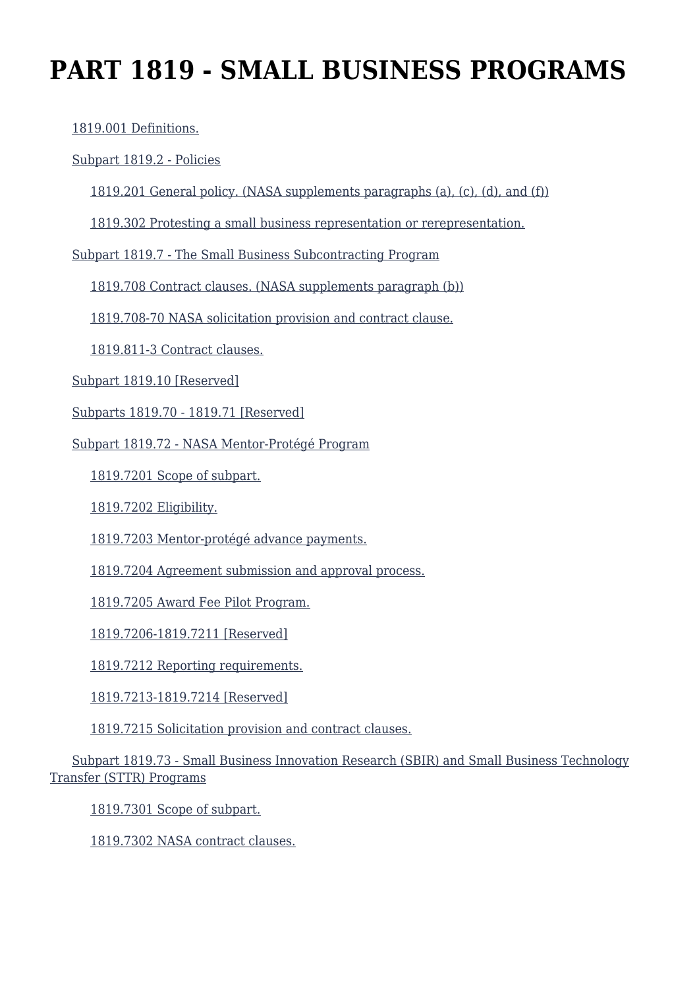# **PART 1819 - SMALL BUSINESS PROGRAMS**

[1819.001 Definitions.](https://login.acquisition.gov/%5Brp:link:nfs-part-1819%5D#Section_1819_001_T48_6041917011)

#### [Subpart 1819.2 - Policies](https://login.acquisition.gov/%5Brp:link:nfs-part-1819%5D#Subpart_1819_2_T48_60419171)

[1819.201 General policy. \(NASA supplements paragraphs \(a\), \(c\), \(d\), and \(f\)\)](https://login.acquisition.gov/%5Brp:link:nfs-part-1819%5D#Section_1819_201_T48_6041917111)

[1819.302 Protesting a small business representation or rerepresentation.](https://login.acquisition.gov/%5Brp:link:nfs-part-1819%5D#Section_1819_302_T48_6041917112)

[Subpart 1819.7 - The Small Business Subcontracting Program](https://login.acquisition.gov/%5Brp:link:nfs-part-1819%5D#Subpart_1819_7_T48_60419172)

[1819.708 Contract clauses. \(NASA supplements paragraph \(b\)\)](https://login.acquisition.gov/%5Brp:link:nfs-part-1819%5D#Section_1819_708_T48_6041917211)

[1819.708-70 NASA solicitation provision and contract clause.](https://login.acquisition.gov/%5Brp:link:nfs-part-1819%5D#Section_1819_708_70_T48_6041917212)

[1819.811-3 Contract clauses.](https://login.acquisition.gov/%5Brp:link:nfs-part-1819%5D#Section_1819_811_3_T48_6041917213)

[Subpart 1819.10 \[Reserved\]](https://login.acquisition.gov/%5Brp:link:nfs-part-1819%5D#Subpart_1819_10_T48_60419173)

[Subparts 1819.70 - 1819.71 \[Reserved\]](https://login.acquisition.gov/%5Brp:link:nfs-part-1819%5D#Subpart_1819_70_T48_60419174)

[Subpart 1819.72 - NASA Mentor-Protégé Program](https://login.acquisition.gov/%5Brp:link:nfs-part-1819%5D#Subpart_1819_72_T48_60419175)

[1819.7201 Scope of subpart.](https://login.acquisition.gov/%5Brp:link:nfs-part-1819%5D#Section_1819_7201_T48_6041917511)

[1819.7202 Eligibility.](https://login.acquisition.gov/%5Brp:link:nfs-part-1819%5D#Section_1819_7202_T48_6041917512)

[1819.7203 Mentor-protégé advance payments.](https://login.acquisition.gov/%5Brp:link:nfs-part-1819%5D#Section_1819_7203_T48_6041917513)

[1819.7204 Agreement submission and approval process.](https://login.acquisition.gov/%5Brp:link:nfs-part-1819%5D#Section_1819_7204_T48_6041917514)

[1819.7205 Award Fee Pilot Program.](https://login.acquisition.gov/%5Brp:link:nfs-part-1819%5D#Section_1819_7205_T48_6041917515)

[1819.7206-1819.7211 \[Reserved\]](https://login.acquisition.gov/%5Brp:link:nfs-part-1819%5D#Section_1819_7206_1819_7211_T48_6041917516)

[1819.7212 Reporting requirements.](https://login.acquisition.gov/%5Brp:link:nfs-part-1819%5D#Section_1819_7212_T48_6041917517)

[1819.7213-1819.7214 \[Reserved\]](https://login.acquisition.gov/%5Brp:link:nfs-part-1819%5D#Section_1819_7213_1819_7214_T48_6041917518)

[1819.7215 Solicitation provision and contract clauses.](https://login.acquisition.gov/%5Brp:link:nfs-part-1819%5D#Section_1819_7215_T48_6041917519)

 [Subpart 1819.73 - Small Business Innovation Research \(SBIR\) and Small Business Technology](https://login.acquisition.gov/%5Brp:link:nfs-part-1819%5D#Subpart_1819_73_T48_60419176) [Transfer \(STTR\) Programs](https://login.acquisition.gov/%5Brp:link:nfs-part-1819%5D#Subpart_1819_73_T48_60419176)

[1819.7301 Scope of subpart.](https://login.acquisition.gov/%5Brp:link:nfs-part-1819%5D#Section_1819_7301_T48_6041917611)

[1819.7302 NASA contract clauses.](https://login.acquisition.gov/%5Brp:link:nfs-part-1819%5D#Section_1819_7302_T48_6041917612)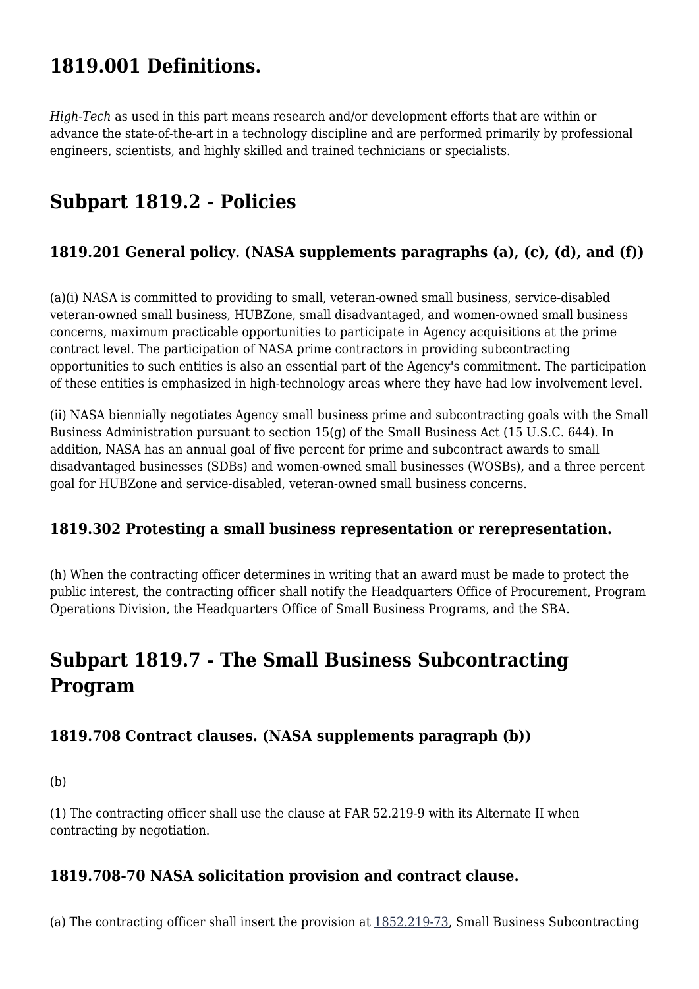# **1819.001 Definitions.**

*High-Tech* as used in this part means research and/or development efforts that are within or advance the state-of-the-art in a technology discipline and are performed primarily by professional engineers, scientists, and highly skilled and trained technicians or specialists.

# **Subpart 1819.2 - Policies**

## **1819.201 General policy. (NASA supplements paragraphs (a), (c), (d), and (f))**

(a)(i) NASA is committed to providing to small, veteran-owned small business, service-disabled veteran-owned small business, HUBZone, small disadvantaged, and women-owned small business concerns, maximum practicable opportunities to participate in Agency acquisitions at the prime contract level. The participation of NASA prime contractors in providing subcontracting opportunities to such entities is also an essential part of the Agency's commitment. The participation of these entities is emphasized in high-technology areas where they have had low involvement level.

(ii) NASA biennially negotiates Agency small business prime and subcontracting goals with the Small Business Administration pursuant to section 15(g) of the Small Business Act (15 U.S.C. 644). In addition, NASA has an annual goal of five percent for prime and subcontract awards to small disadvantaged businesses (SDBs) and women-owned small businesses (WOSBs), and a three percent goal for HUBZone and service-disabled, veteran-owned small business concerns.

#### **1819.302 Protesting a small business representation or rerepresentation.**

(h) When the contracting officer determines in writing that an award must be made to protect the public interest, the contracting officer shall notify the Headquarters Office of Procurement, Program Operations Division, the Headquarters Office of Small Business Programs, and the SBA.

# **Subpart 1819.7 - The Small Business Subcontracting Program**

#### **1819.708 Contract clauses. (NASA supplements paragraph (b))**

(b)

(1) The contracting officer shall use the clause at FAR 52.219-9 with its Alternate II when contracting by negotiation.

#### **1819.708-70 NASA solicitation provision and contract clause.**

(a) The contracting officer shall insert the provision at [1852.219-73](https://login.acquisition.gov/%5Brp:link:nfs-part-1852%5D#Section_1852_219_73_T48_60423441142), Small Business Subcontracting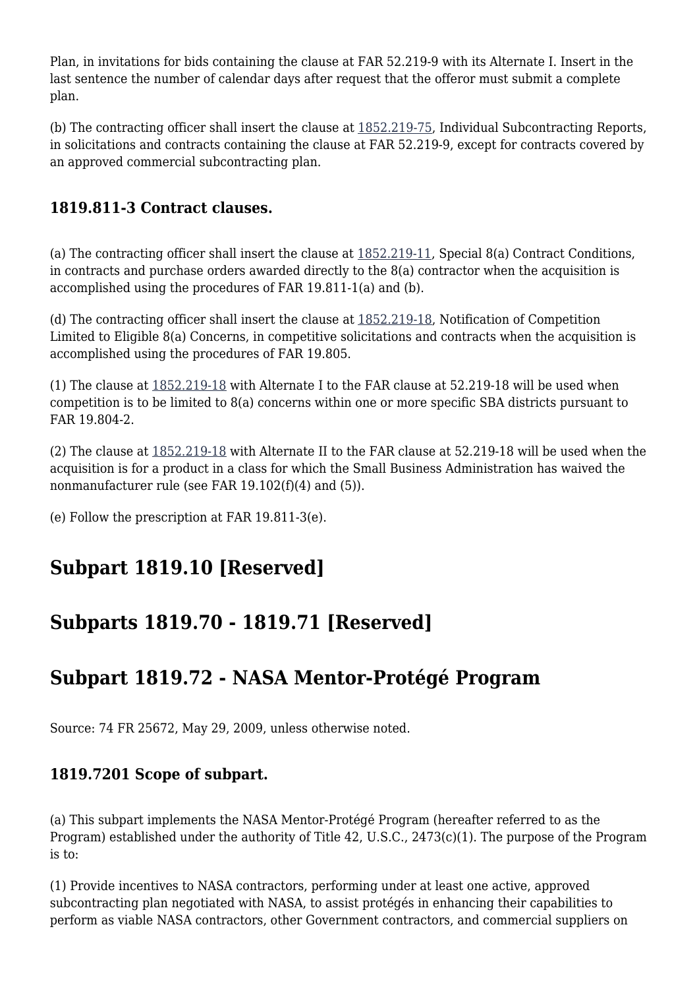Plan, in invitations for bids containing the clause at FAR 52.219-9 with its Alternate I. Insert in the last sentence the number of calendar days after request that the offeror must submit a complete plan.

(b) The contracting officer shall insert the clause at [1852.219-75](https://login.acquisition.gov/%5Brp:link:nfs-part-1852%5D#Section_1852_219_75_T48_60423441144), Individual Subcontracting Reports, in solicitations and contracts containing the clause at FAR 52.219-9, except for contracts covered by an approved commercial subcontracting plan.

# **1819.811-3 Contract clauses.**

(a) The contracting officer shall insert the clause at [1852.219-11,](https://login.acquisition.gov/%5Brp:link:nfs-part-1852%5D#Section_1852_219_11_T48_60423441140) Special 8(a) Contract Conditions, in contracts and purchase orders awarded directly to the 8(a) contractor when the acquisition is accomplished using the procedures of FAR 19.811-1(a) and (b).

(d) The contracting officer shall insert the clause at [1852.219-18](https://login.acquisition.gov/%5Brp:link:nfs-part-1852%5D#Section_1852_219_18_T48_60423441141), Notification of Competition Limited to Eligible 8(a) Concerns, in competitive solicitations and contracts when the acquisition is accomplished using the procedures of FAR 19.805.

(1) The clause at [1852.219-18](https://login.acquisition.gov/%5Brp:link:nfs-part-1852%5D#Section_1852_219_18_T48_60423441141) with Alternate I to the FAR clause at 52.219-18 will be used when competition is to be limited to 8(a) concerns within one or more specific SBA districts pursuant to FAR 19.804-2.

(2) The clause at [1852.219-18](https://login.acquisition.gov/%5Brp:link:nfs-part-1852%5D#Section_1852_219_18_T48_60423441141) with Alternate II to the FAR clause at 52.219-18 will be used when the acquisition is for a product in a class for which the Small Business Administration has waived the nonmanufacturer rule (see FAR 19.102(f)(4) and (5)).

(e) Follow the prescription at FAR 19.811-3(e).

# **Subpart 1819.10 [Reserved]**

# **Subparts 1819.70 - 1819.71 [Reserved]**

# **Subpart 1819.72 - NASA Mentor-Protégé Program**

Source: 74 FR 25672, May 29, 2009, unless otherwise noted.

#### **1819.7201 Scope of subpart.**

(a) This subpart implements the NASA Mentor-Protégé Program (hereafter referred to as the Program) established under the authority of Title 42, U.S.C., 2473(c)(1). The purpose of the Program is to:

(1) Provide incentives to NASA contractors, performing under at least one active, approved subcontracting plan negotiated with NASA, to assist protégés in enhancing their capabilities to perform as viable NASA contractors, other Government contractors, and commercial suppliers on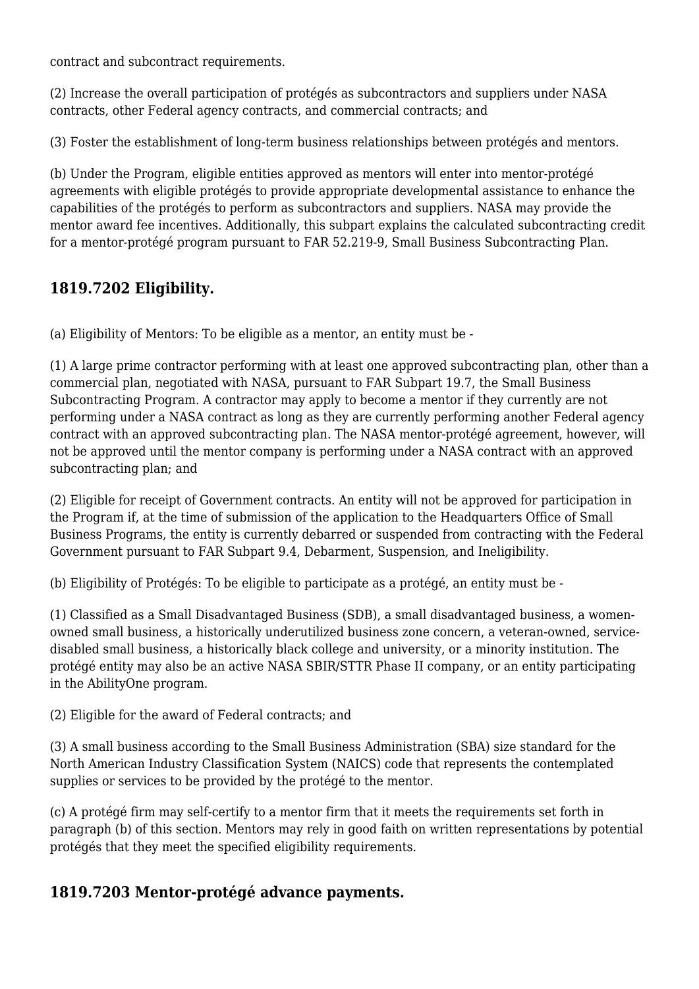contract and subcontract requirements.

(2) Increase the overall participation of protégés as subcontractors and suppliers under NASA contracts, other Federal agency contracts, and commercial contracts; and

(3) Foster the establishment of long-term business relationships between protégés and mentors.

(b) Under the Program, eligible entities approved as mentors will enter into mentor-protégé agreements with eligible protégés to provide appropriate developmental assistance to enhance the capabilities of the protégés to perform as subcontractors and suppliers. NASA may provide the mentor award fee incentives. Additionally, this subpart explains the calculated subcontracting credit for a mentor-protégé program pursuant to FAR 52.219-9, Small Business Subcontracting Plan.

## **1819.7202 Eligibility.**

(a) Eligibility of Mentors: To be eligible as a mentor, an entity must be -

(1) A large prime contractor performing with at least one approved subcontracting plan, other than a commercial plan, negotiated with NASA, pursuant to FAR Subpart 19.7, the Small Business Subcontracting Program. A contractor may apply to become a mentor if they currently are not performing under a NASA contract as long as they are currently performing another Federal agency contract with an approved subcontracting plan. The NASA mentor-protégé agreement, however, will not be approved until the mentor company is performing under a NASA contract with an approved subcontracting plan; and

(2) Eligible for receipt of Government contracts. An entity will not be approved for participation in the Program if, at the time of submission of the application to the Headquarters Office of Small Business Programs, the entity is currently debarred or suspended from contracting with the Federal Government pursuant to FAR Subpart 9.4, Debarment, Suspension, and Ineligibility.

(b) Eligibility of Protégés: To be eligible to participate as a protégé, an entity must be -

(1) Classified as a Small Disadvantaged Business (SDB), a small disadvantaged business, a womenowned small business, a historically underutilized business zone concern, a veteran-owned, servicedisabled small business, a historically black college and university, or a minority institution. The protégé entity may also be an active NASA SBIR/STTR Phase II company, or an entity participating in the AbilityOne program.

(2) Eligible for the award of Federal contracts; and

(3) A small business according to the Small Business Administration (SBA) size standard for the North American Industry Classification System (NAICS) code that represents the contemplated supplies or services to be provided by the protégé to the mentor.

(c) A protégé firm may self-certify to a mentor firm that it meets the requirements set forth in paragraph (b) of this section. Mentors may rely in good faith on written representations by potential protégés that they meet the specified eligibility requirements.

## **1819.7203 Mentor-protégé advance payments.**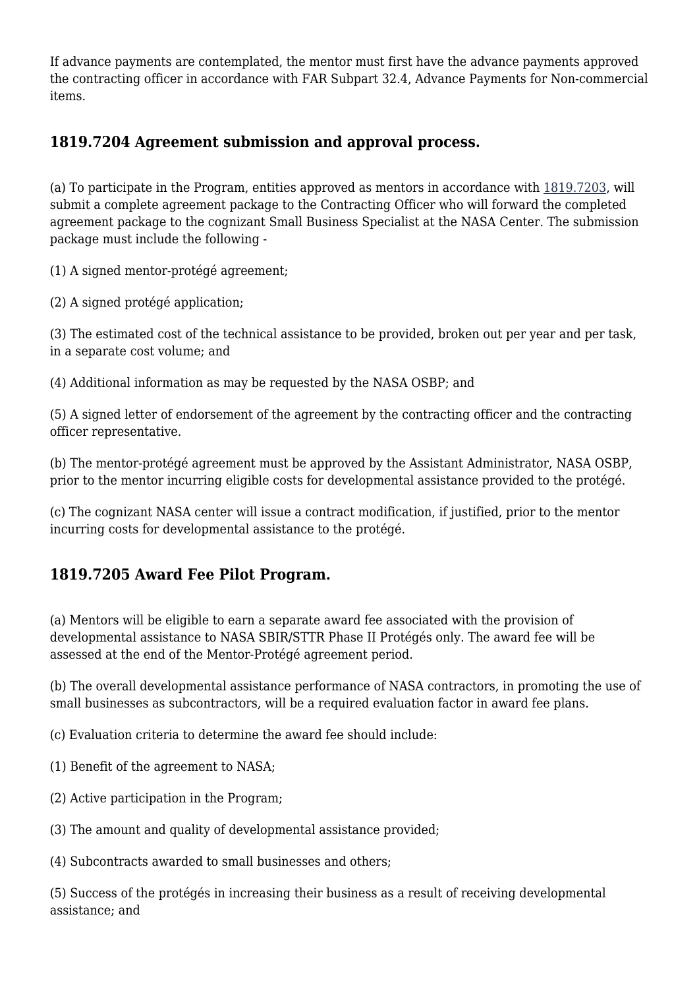If advance payments are contemplated, the mentor must first have the advance payments approved the contracting officer in accordance with FAR Subpart 32.4, Advance Payments for Non-commercial items.

### **1819.7204 Agreement submission and approval process.**

(a) To participate in the Program, entities approved as mentors in accordance with [1819.7203,](https://login.acquisition.gov/%5Brp:link:nfs-part-1819%5D#Section_1819_7203_T48_6041917513) will submit a complete agreement package to the Contracting Officer who will forward the completed agreement package to the cognizant Small Business Specialist at the NASA Center. The submission package must include the following -

(1) A signed mentor-protégé agreement;

(2) A signed protégé application;

(3) The estimated cost of the technical assistance to be provided, broken out per year and per task, in a separate cost volume; and

(4) Additional information as may be requested by the NASA OSBP; and

(5) A signed letter of endorsement of the agreement by the contracting officer and the contracting officer representative.

(b) The mentor-protégé agreement must be approved by the Assistant Administrator, NASA OSBP, prior to the mentor incurring eligible costs for developmental assistance provided to the protégé.

(c) The cognizant NASA center will issue a contract modification, if justified, prior to the mentor incurring costs for developmental assistance to the protégé.

## **1819.7205 Award Fee Pilot Program.**

(a) Mentors will be eligible to earn a separate award fee associated with the provision of developmental assistance to NASA SBIR/STTR Phase II Protégés only. The award fee will be assessed at the end of the Mentor-Protégé agreement period.

(b) The overall developmental assistance performance of NASA contractors, in promoting the use of small businesses as subcontractors, will be a required evaluation factor in award fee plans.

(c) Evaluation criteria to determine the award fee should include:

- (1) Benefit of the agreement to NASA;
- (2) Active participation in the Program;
- (3) The amount and quality of developmental assistance provided;
- (4) Subcontracts awarded to small businesses and others;

(5) Success of the protégés in increasing their business as a result of receiving developmental assistance; and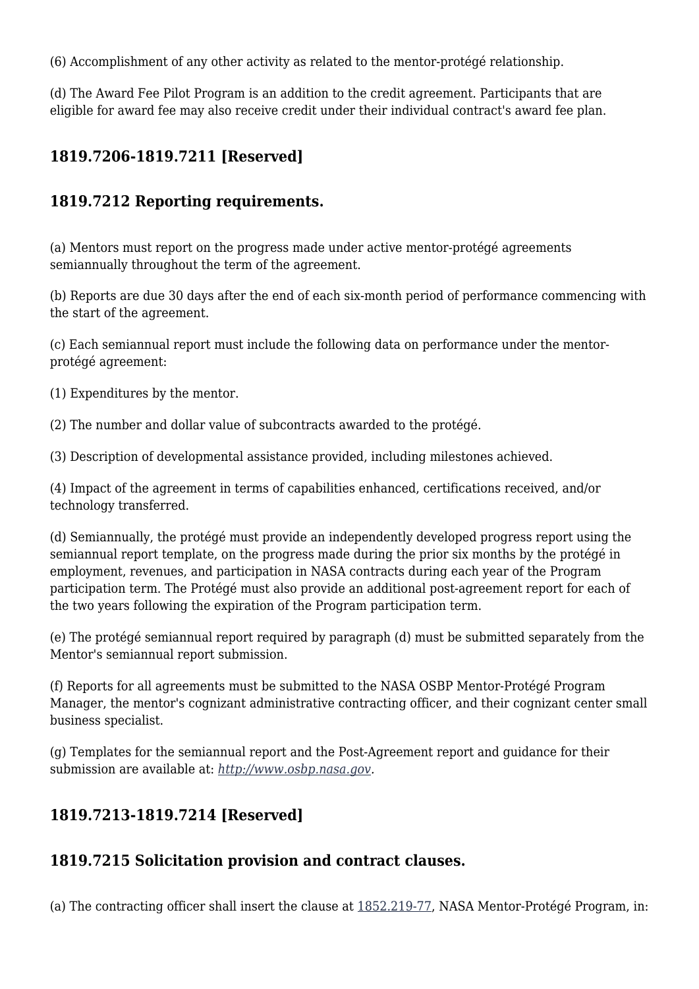(6) Accomplishment of any other activity as related to the mentor-protégé relationship.

(d) The Award Fee Pilot Program is an addition to the credit agreement. Participants that are eligible for award fee may also receive credit under their individual contract's award fee plan.

# **1819.7206-1819.7211 [Reserved]**

### **1819.7212 Reporting requirements.**

(a) Mentors must report on the progress made under active mentor-protégé agreements semiannually throughout the term of the agreement.

(b) Reports are due 30 days after the end of each six-month period of performance commencing with the start of the agreement.

(c) Each semiannual report must include the following data on performance under the mentorprotégé agreement:

(1) Expenditures by the mentor.

(2) The number and dollar value of subcontracts awarded to the protégé.

(3) Description of developmental assistance provided, including milestones achieved.

(4) Impact of the agreement in terms of capabilities enhanced, certifications received, and/or technology transferred.

(d) Semiannually, the protégé must provide an independently developed progress report using the semiannual report template, on the progress made during the prior six months by the protégé in employment, revenues, and participation in NASA contracts during each year of the Program participation term. The Protégé must also provide an additional post-agreement report for each of the two years following the expiration of the Program participation term.

(e) The protégé semiannual report required by paragraph (d) must be submitted separately from the Mentor's semiannual report submission.

(f) Reports for all agreements must be submitted to the NASA OSBP Mentor-Protégé Program Manager, the mentor's cognizant administrative contracting officer, and their cognizant center small business specialist.

(g) Templates for the semiannual report and the Post-Agreement report and guidance for their submission are available at: *<http://www.osbp.nasa.gov>.*

# **1819.7213-1819.7214 [Reserved]**

## **1819.7215 Solicitation provision and contract clauses.**

(a) The contracting officer shall insert the clause at [1852.219-77,](https://login.acquisition.gov/%5Brp:link:nfs-part-1852%5D#Section_1852_219_77_T48_60423441146) NASA Mentor-Protégé Program, in: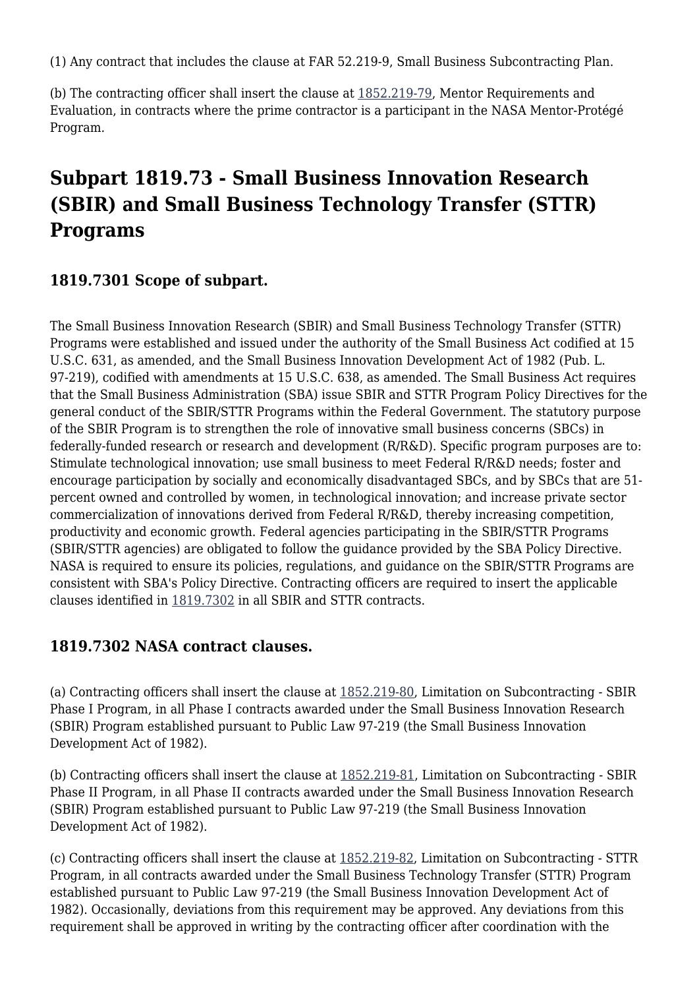(1) Any contract that includes the clause at FAR 52.219-9, Small Business Subcontracting Plan.

(b) The contracting officer shall insert the clause at [1852.219-79](https://login.acquisition.gov/%5Brp:link:nfs-part-1852%5D#Section_1852_219_79_T48_60423441147), Mentor Requirements and Evaluation, in contracts where the prime contractor is a participant in the NASA Mentor-Protégé Program.

# **Subpart 1819.73 - Small Business Innovation Research (SBIR) and Small Business Technology Transfer (STTR) Programs**

### **1819.7301 Scope of subpart.**

The Small Business Innovation Research (SBIR) and Small Business Technology Transfer (STTR) Programs were established and issued under the authority of the Small Business Act codified at 15 U.S.C. 631, as amended, and the Small Business Innovation Development Act of 1982 (Pub. L. 97-219), codified with amendments at 15 U.S.C. 638, as amended. The Small Business Act requires that the Small Business Administration (SBA) issue SBIR and STTR Program Policy Directives for the general conduct of the SBIR/STTR Programs within the Federal Government. The statutory purpose of the SBIR Program is to strengthen the role of innovative small business concerns (SBCs) in federally-funded research or research and development (R/R&D). Specific program purposes are to: Stimulate technological innovation; use small business to meet Federal R/R&D needs; foster and encourage participation by socially and economically disadvantaged SBCs, and by SBCs that are 51 percent owned and controlled by women, in technological innovation; and increase private sector commercialization of innovations derived from Federal R/R&D, thereby increasing competition, productivity and economic growth. Federal agencies participating in the SBIR/STTR Programs (SBIR/STTR agencies) are obligated to follow the guidance provided by the SBA Policy Directive. NASA is required to ensure its policies, regulations, and guidance on the SBIR/STTR Programs are consistent with SBA's Policy Directive. Contracting officers are required to insert the applicable clauses identified in [1819.7302](https://login.acquisition.gov/%5Brp:link:nfs-part-1819%5D#Section_1819_7302_T48_6041917612) in all SBIR and STTR contracts.

#### **1819.7302 NASA contract clauses.**

(a) Contracting officers shall insert the clause at [1852.219-80,](https://login.acquisition.gov/%5Brp:link:nfs-part-1852%5D#Section_1852_219_80_T48_60423441148) Limitation on Subcontracting - SBIR Phase I Program, in all Phase I contracts awarded under the Small Business Innovation Research (SBIR) Program established pursuant to Public Law 97-219 (the Small Business Innovation Development Act of 1982).

(b) Contracting officers shall insert the clause at [1852.219-81](https://login.acquisition.gov/%5Brp:link:nfs-part-1852%5D#Section_1852_219_81_T48_60423441149), Limitation on Subcontracting - SBIR Phase II Program, in all Phase II contracts awarded under the Small Business Innovation Research (SBIR) Program established pursuant to Public Law 97-219 (the Small Business Innovation Development Act of 1982).

(c) Contracting officers shall insert the clause at [1852.219-82](https://login.acquisition.gov/%5Brp:link:nfs-part-1852%5D#Section_1852_219_82_T48_60423441150), Limitation on Subcontracting - STTR Program, in all contracts awarded under the Small Business Technology Transfer (STTR) Program established pursuant to Public Law 97-219 (the Small Business Innovation Development Act of 1982). Occasionally, deviations from this requirement may be approved. Any deviations from this requirement shall be approved in writing by the contracting officer after coordination with the